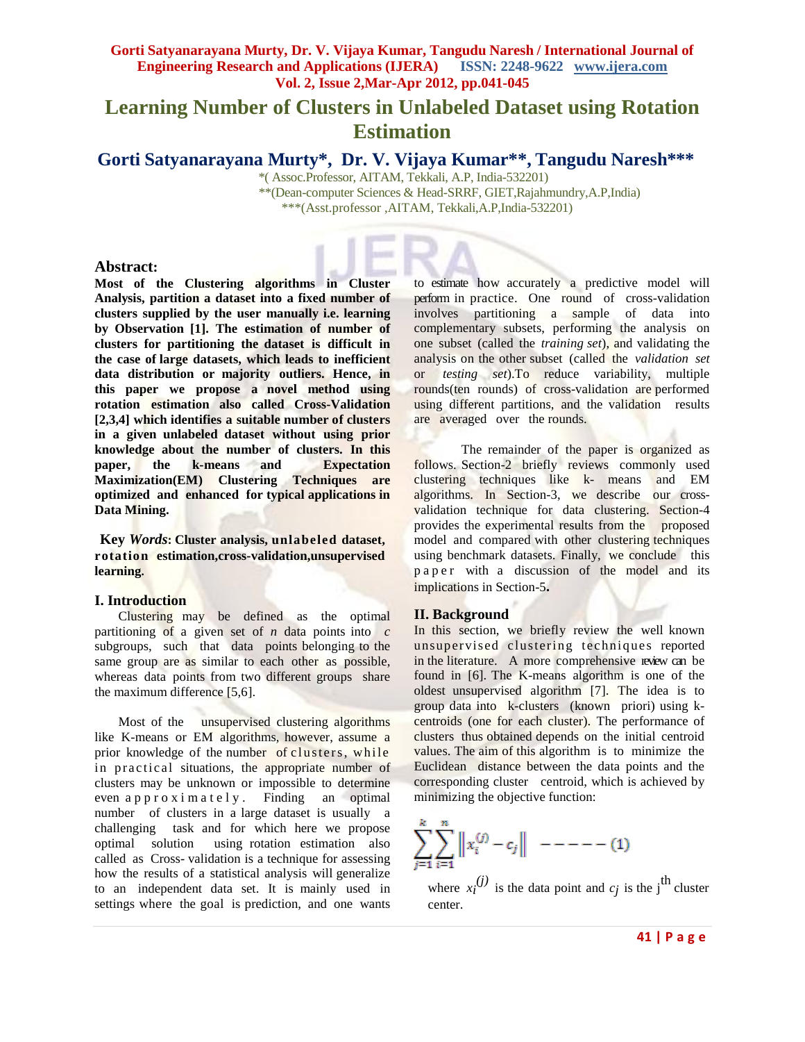# **Learning Number of Clusters in Unlabeled Dataset using Rotation Estimation**

**Gorti Satyanarayana Murty\*, Dr. V. Vijaya Kumar\*\* , Tangudu Naresh\*\*\***

\*( Assoc.Professor, AITAM, Tekkali, A.P, India-532201) \*\*(Dean-computer Sciences & Head-SRRF, GIET,Rajahmundry,A.P,India) \*\*\*(Asst.professor ,AITAM, Tekkali,A.P,India-532201)

### **Abstract:**

**Most of the Clustering algorithms in Cluster Analysis, partition a dataset into a fixed number of clusters supplied by the user manually i.e. learning by Observation [1]. The estimation of number of clusters for partitioning the dataset is difficult in the case of large datasets, which leads to inefficient data distribution or majority outliers. Hence, in this paper we propose a novel method using rotation estimation also called Cross-Validation [2,3,4] which identifies a suitable number of clusters in a given unlabeled dataset without using prior knowledge about the number of clusters. In this paper, the k-means and Expectation Maximization(EM) Clustering Techniques are optimized and enhanced for typical applications in Data Mining.**

 **Key** *Words***: Cluster analysis, unlabeled dataset, rotation estimation,cross-validation,unsupervised learning.**

#### **I. Introduction**

Clustering may be defined as the optimal partitioning of a given set of *n* data points into *c*  subgroups, such that data points belonging to the same group are as similar to each other as possible, whereas data points from two different groups share the maximum difference [5,6].

Most of the unsupervised clustering algorithms like K-means or EM algorithms, however, assume a prior knowledge of the number of clusters, while in practical situations, the appropriate number of clusters may be unknown or impossible to determine even  $a$  p  $p$  r  $o$  x i m  $a$  t  $e$  l  $y$ . Finding an optimal number of clusters in a large dataset is usually a challenging task and for which here we propose optimal solution using rotation estimation also called as Cross- validation is a technique for assessing how the results of a statistical analysis will generalize to an independent data set. It is mainly used in settings where the goal is prediction, and one wants

to estimate how accurately a predictive model will perform in practice. One round of cross-validation involves partitioning a sample of data into complementary subsets, performing the analysis on one subset (called the *training set*), and validating the analysis on the other subset (called the *validation set* or *testing set*).To reduce variability, multiple rounds(ten rounds) of cross-validation are performed using different partitions, and the validation results are averaged over the rounds.

The remainder of the paper is organized as follows. Section-2 briefly reviews commonly used clustering techniques like k- means and EM algorithms. In Section-3, we describe our crossvalidation technique for data clustering. Section-4 provides the experimental results from the proposed model and compared with other clustering techniques using benchmark datasets. Finally, we conclude this p a p e r with a discussion of the model and its implications in Section-5**.**

### **II. Background**

In this section, we briefly review the well known unsupervised clustering techniques reported in the literature. A more comprehensive review can be found in [6]. The K-means algorithm is one of the oldest unsupervised algorithm [7]. The idea is to group data into k-clusters (known priori) using kcentroids (one for each cluster). The performance of clusters thus obtained depends on the initial centroid values. The aim of this algorithm is to minimize the Euclidean distance between the data points and the corresponding cluster centroid, which is achieved by minimizing the objective function:

$$
\sum_{j=1}^{k} \sum_{i=1}^{n} ||x_i^{(j)} - c_j|| - - - - - (1)
$$

where  $x_i^{(j)}$  is the data point and  $c_j$  is the j<sup>th</sup> cluster center.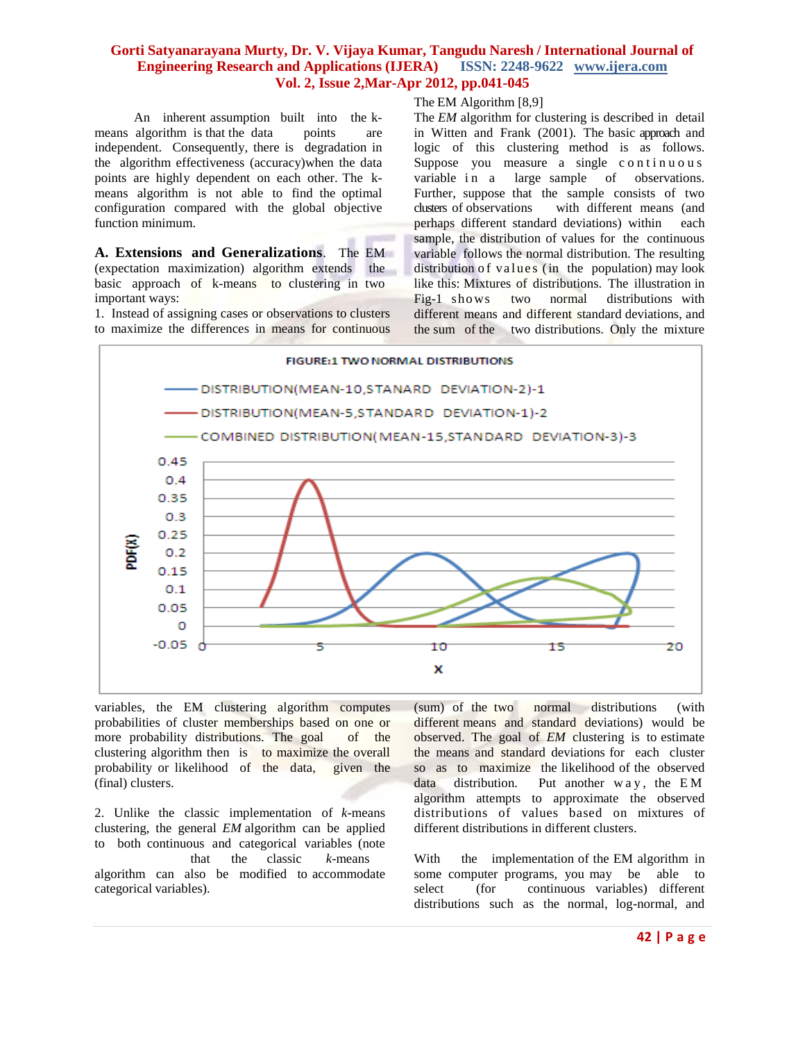An inherent assumption built into the kmeans algorithm is that the data points are independent. Consequently, there is degradation in the algorithm effectiveness (accuracy)when the data points are highly dependent on each other. The kmeans algorithm is not able to find the optimal configuration compared with the global objective function minimum.

**A. Extensions and Generalizations**. The EM (expectation maximization) algorithm extends the basic approach of k-means to clustering in two important ways:

1. Instead of assigning cases or observations to clusters to maximize the differences in means for continuous The EM Algorithm [8,9]

The *EM* algorithm for clustering is described in detail in Witten and Frank (2001). The basic approach and logic of this clustering method is as follows. Suppose you measure a single continuous variable in a large sample of observations. Further, suppose that the sample consists of two clusters of observations with different means (and perhaps different standard deviations) within each sample, the distribution of values for the continuous variable follows the normal distribution. The resulting distribution of values (in the population) may look like this: Mixtures of distributions. The illustration in Fig-1 shows two normal distributions with different means and different standard deviations, and the sum of the two distributions. Only the mixture



variables, the EM clustering algorithm computes probabilities of cluster memberships based on one or more probability distributions. The goal of the clustering algorithm then is to maximize the overall probability or likelihood of the data, given the (final) clusters.

2. Unlike the classic implementation of *k*-means clustering, the general *EM* algorithm can be applied to both continuous and categorical variables (note that the classic *k*-means algorithm can also be modified to accommodate categorical variables).

(sum) of the two normal distributions (with different means and standard deviations) would be observed. The goal of *EM* clustering is to estimate the means and standard deviations for each cluster so as to maximize the likelihood of the observed data distribution. Put another  $wa y$ , the EM algorithm attempts to approximate the observed distributions of values based on mixtures of different distributions in different clusters.

With the implementation of the EM algorithm in some computer programs, you may be able to select (for continuous variables) different distributions such as the normal, log-normal, and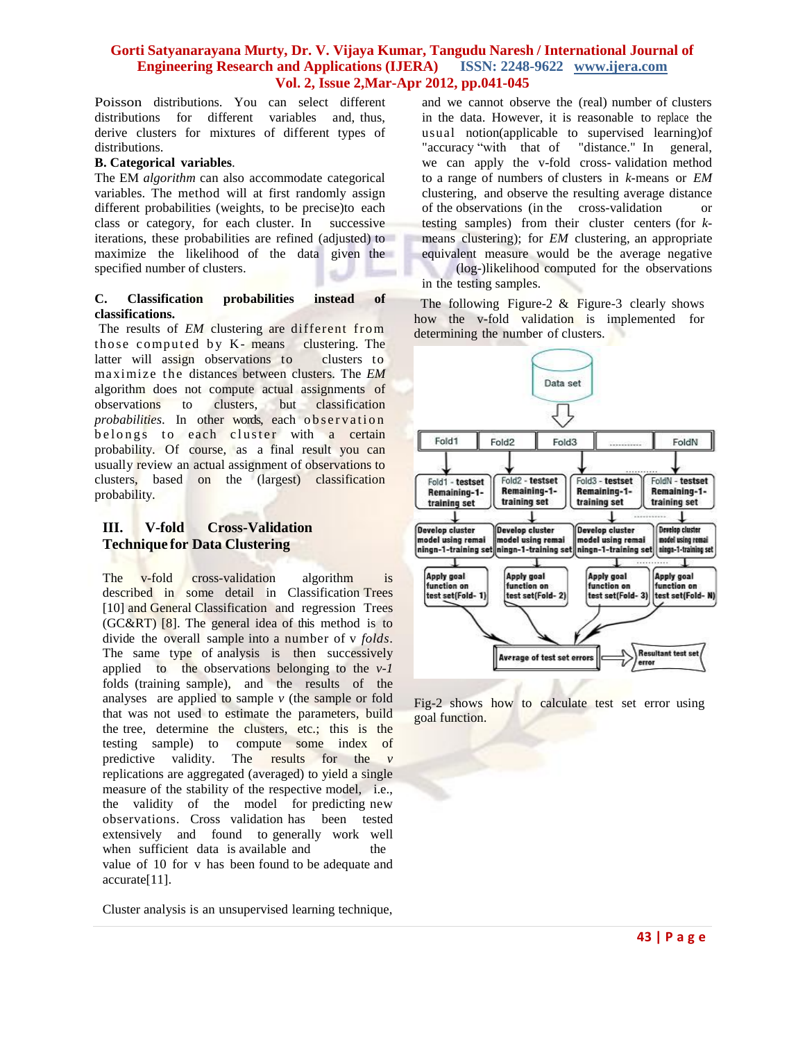Poisson distributions. You can select different distributions for different variables and, thus, derive clusters for mixtures of different types of distributions.

### **B. Categorical variables**.

The EM *algorithm* can also accommodate categorical variables. The method will at first randomly assign different probabilities (weights, to be precise)to each class or category, for each cluster. In successive iterations, these probabilities are refined (adjusted) to maximize the likelihood of the data given the specified number of clusters.

#### **C. Classification probabilities instead of classifications.**

The results of *EM* clustering are different from those computed by  $K$ - means clustering. The latter will assign observations to clusters to maximize the distances between clusters. The *EM* algorithm does not compute actual assignments of observations to clusters, but classification *probabilities*. In other words, each observation belongs to each cluster with a certain probability. Of course, as a final result you can usually review an actual assignment of observations to clusters, based on the (largest) classification probability.

# **III. V-fold Cross-Validation Technique for Data Clustering**

The v-fold cross-validation algorithm is described in some detail in Classification Trees [10] and General Classification and regression Trees (GC&RT) [8]. The general idea of this method is to divide the overall sample into a number of v *folds*. The same type of analysis is then successively applied to the observations belonging to the *v-1* folds (training sample), and the results of the analyses are applied to sample *v* (the sample or fold that was not used to estimate the parameters, build the tree, determine the clusters, etc.; this is the testing sample) to compute some index of predictive validity. The results for the *v*  replications are aggregated (averaged) to yield a single measure of the stability of the respective model, i.e., the validity of the model for predicting new observations. Cross validation has been tested extensively and found to generally work well when sufficient data is available and the value of 10 for v has been found to be adequate and accurate[11].

Cluster analysis is an unsupervised learning technique,

and we cannot observe the (real) number of clusters in the data. However, it is reasonable to replace the usual notion(applicable to supervised learning)of "accuracy "with that of "distance." In general, we can apply the v-fold cross- validation method to a range of numbers of clusters in *k*-means or *EM*  clustering, and observe the resulting average distance of the observations (in the cross-validation or testing samples) from their cluster centers (for *k*means clustering); for *EM* clustering, an appropriate equivalent measure would be the average negative

(log-)likelihood computed for the observations in the testing samples.

The following Figure-2  $\&$  Figure-3 clearly shows how the v-fold validation is implemented for determining the number of clusters.



Fig-2 shows how to calculate test set error using goal function.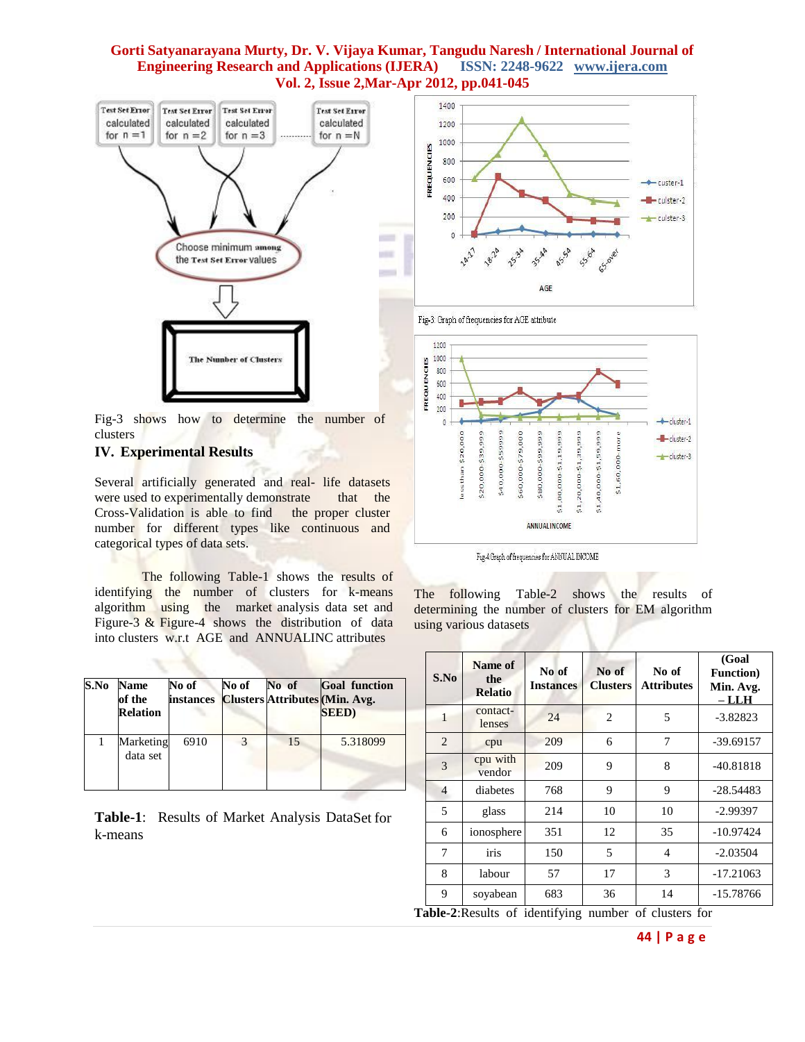

Fig-3 shows how to determine the number of clusters

## **IV. Experimental Results**

Several artificially generated and real- life datasets were used to experimentally demonstrate that the Cross-Validation is able to find the proper cluster number for different types like continuous and categorical types of data sets.

The following Table-1 shows the results of identifying the number of clusters for k-means algorithm using the market analysis data set and Figure-3 & Figure-4 shows the distribution of data into clusters w.r.t AGE and ANNUALINC attributes

| S.No | <b>Name</b><br>of the<br><b>Relation</b> | No of<br><b>instances</b> | No of | No of | <b>Goal function</b><br><b>Clusters Attributes (Min. Avg.</b><br><b>SEED</b> ) |
|------|------------------------------------------|---------------------------|-------|-------|--------------------------------------------------------------------------------|
|      | Marketing<br>data set                    | 6910                      |       | 15    | 5.318099                                                                       |

**Table-1**: Results of Market Analysis DataSet for k-means







Fig-4:Graph of frequencies for ANNUAL INCOME

The following Table-2 shows the results of determining the number of clusters for EM algorithm using various datasets

| S.No           | Name of<br>the<br><b>Relatio</b> | No of<br><b>Instances</b> | No of<br><b>Clusters</b> | No of<br><b>Attributes</b> | (Goal<br><b>Function</b> )<br>Min. Avg.<br>– LLH |
|----------------|----------------------------------|---------------------------|--------------------------|----------------------------|--------------------------------------------------|
| 1              | contact-<br>lenses               | 24                        | 2                        | 5                          | $-3.82823$                                       |
| $\overline{2}$ | cpu                              | 209                       | 6                        | 7                          | $-39.69157$                                      |
| 3              | cpu with<br>vendor               | 209                       | 9                        | 8                          | $-40.81818$                                      |
| $\overline{4}$ | diabetes                         | 768                       | 9                        | 9                          | $-28.54483$                                      |
| 5              | glass                            | 214                       | 10                       | 10                         | $-2.99397$                                       |
| 6              | ionosphere                       | 351                       | 12                       | 35                         | $-10.97424$                                      |
| 7              | iris                             | 150                       | 5                        | 4                          | $-2.03504$                                       |
| 8              | labour                           | 57                        | 17                       | 3                          | $-17.21063$                                      |
| 9              | soyabean                         | 683                       | 36                       | 14                         | -15.78766                                        |

**Table-2**:Results of identifying number of clusters for